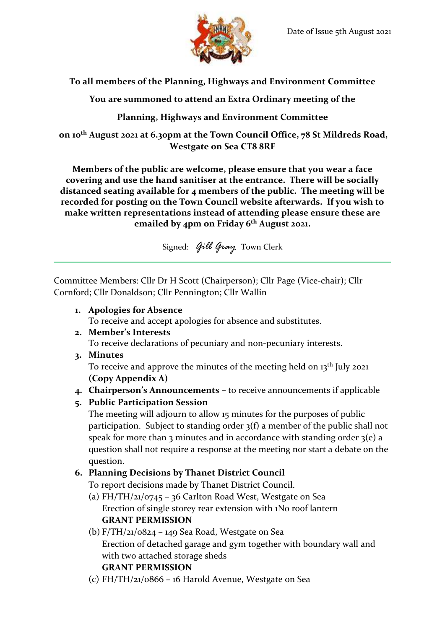

## **To all members of the Planning, Highways and Environment Committee**

**You are summoned to attend an Extra Ordinary meeting of the**

## **Planning, Highways and Environment Committee**

**on 10th August 2021 at 6.30pm at the Town Council Office, 78 St Mildreds Road, Westgate on Sea CT8 8RF**

**Members of the public are welcome, please ensure that you wear a face covering and use the hand sanitiser at the entrance. There will be socially distanced seating available for 4 members of the public. The meeting will be recorded for posting on the Town Council website afterwards. If you wish to make written representations instead of attending please ensure these are emailed by 4pm on Friday 6 th August 2021.**

Signed: *Gill Gray* Town Clerk

Committee Members: Cllr Dr H Scott (Chairperson); Cllr Page (Vice-chair); Cllr Cornford; Cllr Donaldson; Cllr Pennington; Cllr Wallin

**1. Apologies for Absence**

To receive and accept apologies for absence and substitutes.

**2. Member's Interests**

To receive declarations of pecuniary and non-pecuniary interests.

**3. Minutes**

To receive and approve the minutes of the meeting held on 13<sup>th</sup> July 2021 **(Copy Appendix A)**

**4. Chairperson's Announcements –** to receive announcements if applicable

# **5. Public Participation Session**

The meeting will adjourn to allow 15 minutes for the purposes of public participation. Subject to standing order 3(f) a member of the public shall not speak for more than 3 minutes and in accordance with standing order  $3(e)$  a question shall not require a response at the meeting nor start a debate on the question.

# **6. Planning Decisions by Thanet District Council**

To report decisions made by Thanet District Council.

- (a) FH/TH/21/0745 36 Carlton Road West, Westgate on Sea Erection of single storey rear extension with 1No roof lantern **GRANT PERMISSION**
- (b)  $F/TH/21/0824 149$  Sea Road, Westgate on Sea Erection of detached garage and gym together with boundary wall and with two attached storage sheds **GRANT PERMISSION**
- (c) FH/TH/21/0866 16 Harold Avenue, Westgate on Sea